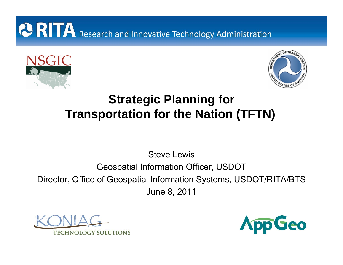# **CORITA** Research and Innovative Technology Administration





## **Strategic Planning for Transportation for the Nation (TFTN)**

Steve Lewis

#### Geospatial Information Officer, USDOT

Director, Office of Geospatial Information Systems, USDOT/RITA/BTS June 8, 2011



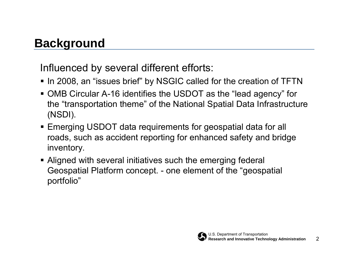## **Background**

Influenced by several different efforts:

- $\textcolor{red}{\bullet}$  In 2008, an "issues brief" by NSGIC called for the creation of TFTN
- OMB Circular A-16 identifies the USDOT as the "lead agency" for the "transportation theme" of the National Spatial Data Infrastructure (NSDI).
- Emerging USDOT data requirements for geospatial data for all roads, such as accident reporting for enhanced safety and bridge inventory.
- Aligned with several initiatives such the emerging federal Geospatial Platform concept. - one element of the "geospatial portfolio"

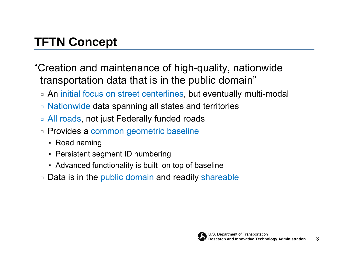## **TFTN Concept**

"Creation and maintenance of high-quality, nationwide transportation data that is in the public domain"

- □ An initial focus on street centerlines, but eventually multi-modal
- □Nationwide data spanning all states and territories
- □ All roads, not just Federally funded roads
- □ Provides a common geometric baseline
	- Road naming
	- Persistent segment ID numbering
	- Advanced functionality is built on top of baseline
- □Data is in the public domain and readily shareable

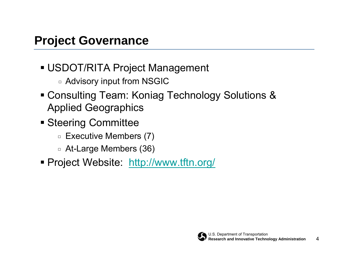- USDOT/RITA Project Management
	- $\,$  Advisory input from NSGIC  $\,$
- Consulting Team: Koniag Technology Solutions & Applied Geographics
- **Steering Committee** 
	- □ Executive Members (7)
	- □ At-Large Members (36)
- Project Website: <http://www.tftn.org/>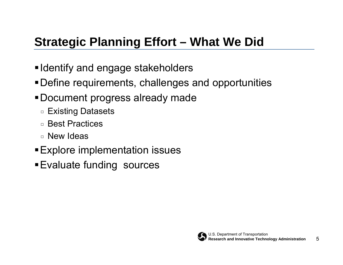## **Strategic Planning Effort – What We Did**

- ■Identify and engage stakeholders
- Define requirements, challenges and opportunities
- Document progress already made
	- □ Existing Datasets
	- □ Best Practices
	- □ New Ideas
- Explore implementation issues
- **Evaluate funding sources**

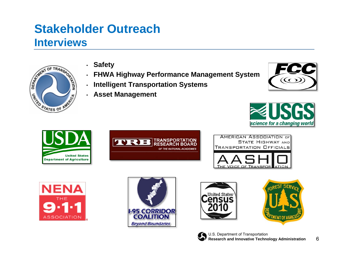### **Stakeholder OutreachInterviews**



- •**Safety**
- •**FHWA Highway Performance Management System**
- •**Intelligent Transportation Systems**
- •**Asset Management**









AMERICAN ASSOCIATION OF **STATE HIGHWAY AND TRANSPORTATION OFFICIALS** 











6

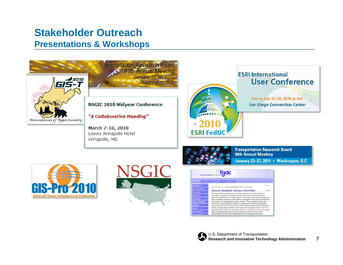#### **Stakeholder OutreachPresentations & Workshops**



**Transportation Research Board** 89th Annual Meeting **January 10-14, 2010** Washington, D.C.

#### **NSGIC 2010 Midyear Conference**

"A Collaborative Heading"

March 7-10, 2010 Loews Annapolis Hotel Annapolis, MD



#### **ESRI International User Conference**

Join us July 12-16, 2010 at the **San Diego Convention Center** 







**Transportation Research Board** 90th Annual Meeting January 23-27, 2011 . Washington, D.C.



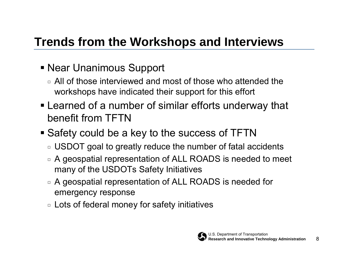## **Trends from the Workshops and Interviews**

- Near Unanimous Support
	- $\Box$  All of those interviewed and most of those who attended the workshops have indicated their support for this effort
- Learned of a number of similar efforts underway that benefit from TFTN
- Safety could be a key to the success of TFTN
	- $\texttt{\texttt{u}}$  USDOT goal to greatly reduce the number of fatal accidents
	- $\texttt{\texttt{I}}\texttt{=}$  A geospatial representation of ALL ROADS is needed to meet many of the USDOTs Safety Initiatives
	- $\texttt{\texttt{I}}\texttt{=}$  A geospatial representation of ALL ROADS is needed for emergency response
	- $\mathbin{\textcolor{black}{\mathsf{u}}}$  Lots of federal money for safety initiatives

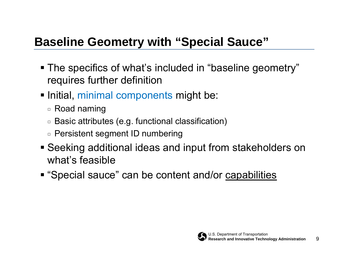## **Baseline Geometry with "Special Sauce"**

- The specifics of what's included in "baseline geometry" requires further definition
- **Initial, minimal components might be:** 
	- □ Road naming
	- $\,$  Basic attributes (e.g. functional classification)
	- □ Persistent segment ID numbering
- Seeking additional ideas and input from stakeholders on what's feasible
- **"** "Special sauce" can be content and/or capabilities

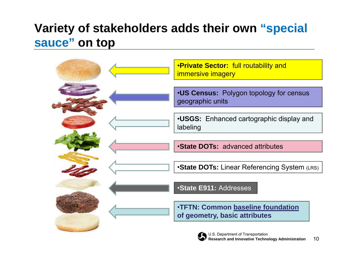## **Variety of stakeholders adds their own "special sauce" on top**

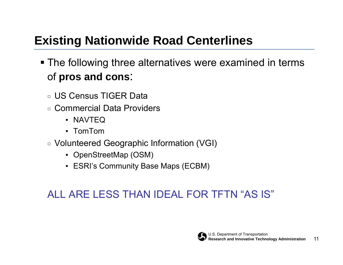## **Existing Nationwide Road Centerlines**

- **The following three alternatives were examined in terms** of **pros and cons**:
	- □ US Census TIGER Data
	- □ Commercial Data Providers
		- NAVTEQ
		- TomTom
	- □ Volunteered Geographic Information (VGI)
		- OpenStreetMap (OSM)
		- ESRI's Community Base Maps (ECBM)

## ALL ARE LESS THAN IDEAL FOR TFTN "AS IS"

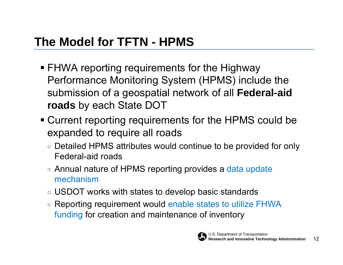- FHWA reporting requirements for the Highway Performance Monitoring System (HPMS) include the submission of a geospatial network of all **Federal-aid roads** by each State DOT
- Current reporting requirements for the HPMS could be expanded to require all roads
	- $\texttt{\texttt{u}}$  Detailed HPMS attributes would continue to be provided for only Federal-aid roads
	- □ Annual nature of HPMS reporting provides a data update mechanism
	- $\texttt{\texttt{u}}$  USDOT works with states to develop basic standards
	- □ Reporting requirement would enable states to utilize FHWA funding for creation and maintenance of inventory

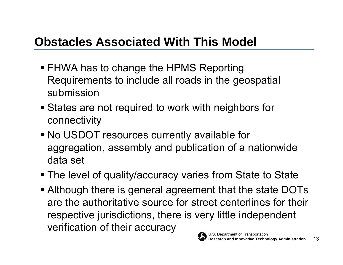## **Obstacles Associated With This Model**

- FHWA has to change the HPMS Reporting Requirements to include all roads in the geospatial submission
- **States are not required to work with neighbors for** connectivity
- No USDOT resources currently available for aggregation, assembly and publication of a nationwide data set
- **The level of quality/accuracy varies from State to State**
- U.S. Department of Transportation Although there is general agreement that the state DOTs are the authoritative source for street centerlines for their respective jurisdictions, there is very little independent verification of their accuracy

13

**Research and Innovative Technology Administration**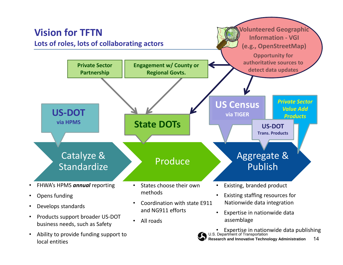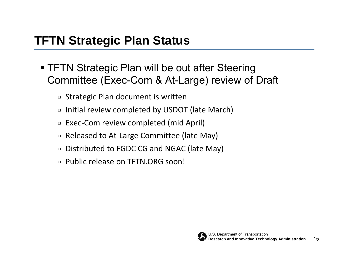## **TFTN Strategic Plan Status**

- **TFTN Strategic Plan will be out after Steering** Committee (Exec-Com & At-Large) review of Draft
	- □Strategic Plan document is written
	- □ $\, \scriptstyle\blacksquare\,$  Initial review completed by USDOT (late March)
	- □ $\Box$  Exec-Com review completed (mid April)
	- □Released to At‐Large Committee (late May)
	- □Distributed to FGDC CG and NGAC (late May)
	- □Public release on TFTN.ORG soon!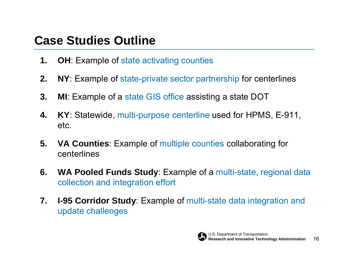## **Case Studies Outline**

- **1.OH**: Example of state activating counties
- **2.NY**: Example of state-private sector partnership for centerlines
- **3. MI**: Example of a state GIS office assisting a state DOT
- **4. KY**: Statewide, multi-purpose centerline used for HPMS, E-911, etc.
- **5. VA Counties**: Example of multiple counties collaborating for centerlines
- **6. WA Pooled Funds Study**: Example of a multi-state, regional data collection and integration effort
- **7. I-95 Corridor Study**: Example of multi-state data integration and update challenges

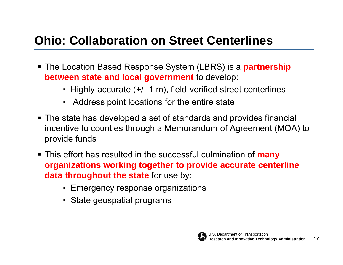## **Ohio: Collaboration on Street Centerlines**

- The Location Based Response System (LBRS) is a **partnership between state and local government** to develop:
	- Highly-accurate (+/- 1 m), field-verified street centerlines
	- Address point locations for the entire state
- The state has developed a set of standards and provides financial incentive to counties through a Memorandum of Agreement (MOA) to provide funds
- This effort has resulted in the successful culmination of **many organizations working together to provide accurate centerline data throughout the state** for use by:
	- **Emergency response organizations**
	- State geospatial programs

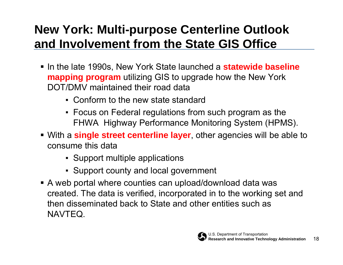## **New York: Multi-purpose Centerline Outlook and Involvement from the State GIS Office**

- **In the late 1990s, New York State launched a statewide baseline mapping program** utilizing GIS to upgrade how the New York DOT/DMV maintained their road data
	- Conform to the new state standard
	- $\textcolor{red}{\bullet}$  Focus on Federal regulations from such program as the FHWA Highway Performance Monitoring System (HPMS).
- With a **single street centerline layer**, other agencies will be able to consume this data
	- Support multiple applications
	- Support county and local government
- A web portal where counties can upload/download data was created. The data is verified, incorporated in to the working set and then disseminated back to State and other entities such as NAVTEQ.

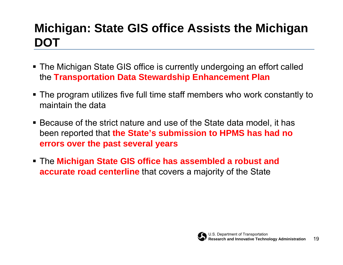## **Michigan: State GIS office Assists the Michigan DOT**

- The Michigan State GIS office is currently undergoing an effort called the **Transportation Data Stewardship Enhancement Plan**
- The program utilizes five full time staff members who work constantly to maintain the data
- Because of the strict nature and use of the State data model, it has been reported that **the State's submission to HPMS has had no errors over the past several years**
- The **Michigan State GIS office has assembled a robust and accurate road centerline** that covers a majority of the State

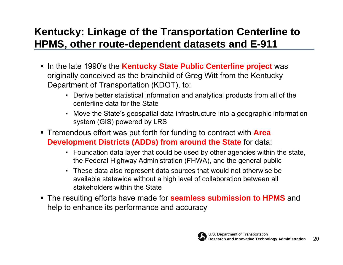### **Kentucky: Linkage of the Transportation Centerline to HPMS, other route-dependent datasets and E-911**

- **Example 1990** is the **Kentucky State Public Centerline project** was originally conceived as the brainchild of Greg Witt from the Kentucky Department of Transportation (KDOT), to:
	- ▪ Derive better statistical information and analytical products from all of the centerline data for the State
	- Move the State's geospatial data infrastructure into a geographic information system (GIS) powered by LRS
- Tremendous effort was put forth for funding to contract with **Area Development Districts (ADDs) from around the State** for data:
	- Foundation data layer that could be used by other agencies within the state, the Federal Highway Administration (FHWA), and the general public
	- ▪ These data also represent data sources that would not otherwise be available statewide without a high level of collaboration between all stakeholders within the State
- The resulting efforts have made for **seamless submission to HPMS** and help to enhance its performance and accuracy

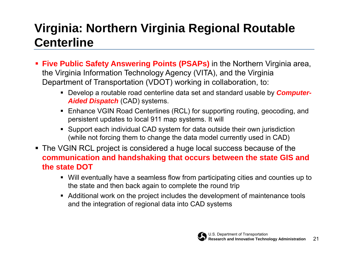## **Virginia: Northern Virginia Regional Routable Centerline**

- **Five Public Safety Answering Points (PSAPs)** in the Northern Virginia area, the Virginia Information Technology Agency (VITA), and the Virginia Department of Transportation (VDOT) working in collaboration, to:
	- Develop a routable road centerline data set and standard usable by *Computer-Aided Dispatch* (CAD) systems.
	- Enhance VGIN Road Centerlines (RCL) for supporting routing, geocoding, and persistent updates to local 911 map systems. It will
	- Support each individual CAD system for data outside their own jurisdiction (while not forcing them to change the data model currently used in CAD)
- The VGIN RCL project is considered a huge local success because of the **communication and handshaking that occurs between the state GIS and the state DOT**
	- Will eventually have a seamless flow from participating cities and counties up to the state and then back again to complete the round trip
	- Additional work on the project includes the development of maintenance tools and the integration of regional data into CAD systems

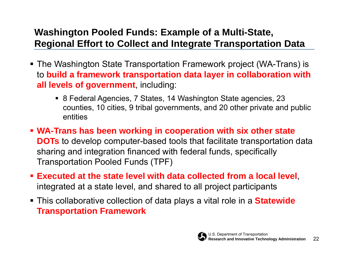#### **Washington Pooled Funds: Example of a Multi-State, Regional Effort to Collect and Integrate Transportation Data**

- The Washington State Transportation Framework project (WA-Trans) is to **build a framework transportation data layer in collaboration with all levels of government**, including:
	- 8 Federal Agencies, 7 States, 14 Washington State agencies, 23 counties, 10 cities, 9 tribal governments, and 20 other private and public entities
- **WA-Trans has been working in cooperation with six other state DOTs** to develop computer-based tools that facilitate transportation data sharing and integration financed with federal funds, specifically Transportation Pooled Funds (TPF)
- **Executed at the state level with data collected from a local level**, integrated at a state level, and shared to all project participants
- This collaborative collection of data plays a vital role in a **Statewide Transportation Framework**

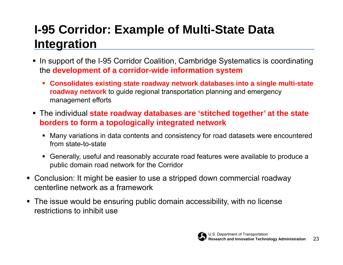## **I-95 Corridor: Example of Multi-State Data Integration**

- In support of the I-95 Corridor Coalition, Cambridge Systematics is coordinating the **development of a corridor-wide information system** 
	- **Consolidates existing state roadway network databases into a single multi-state roadway network** to guide regional transportation planning and emergency management efforts
- The individual **state roadway databases are 'stitched together' at the state borders to form a topologically integrated network**
	- Many variations in data contents and consistency for road datasets were encountered from state-to-state
	- Generally, useful and reasonably accurate road features were available to produce a public domain road network for the Corridor
- Conclusion: It might be easier to use a stripped down commercial roadway centerline network as a framework
- The issue would be ensuring public domain accessibility, with no license restrictions to inhibit use

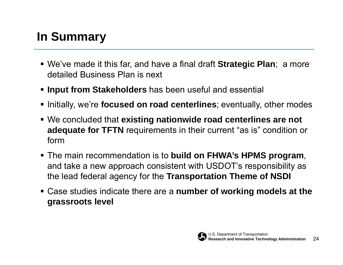## **In Summary**

- We've made it this far, and have a final draft **Strategic Plan**; a more detailed Business Plan is next
- **Input from Stakeholders** has been useful and essential
- **Initially, we're focused on road centerlines**; eventually, other modes
- We concluded that **existing nationwide road centerlines are not adequate for TFTN** requirements in their current "as is" condition or form
- The main recommendation is to **build on FHWA's HPMS program**, and take a new approach consistent with USDOT's responsibility as the lead federal agency for the **Transportation Theme of NSDI**
- Case studies indicate there are a **number of working models at the grassroots level**

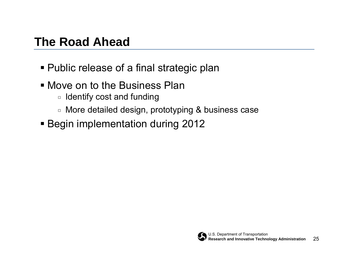## **The Road Ahead**

- Public release of a final strategic plan
- Move on to the Business Plan
	- $\,$   $\,$  Identify cost and funding
	- □ More detailed design, prototyping & business case
- **Begin implementation during 2012**